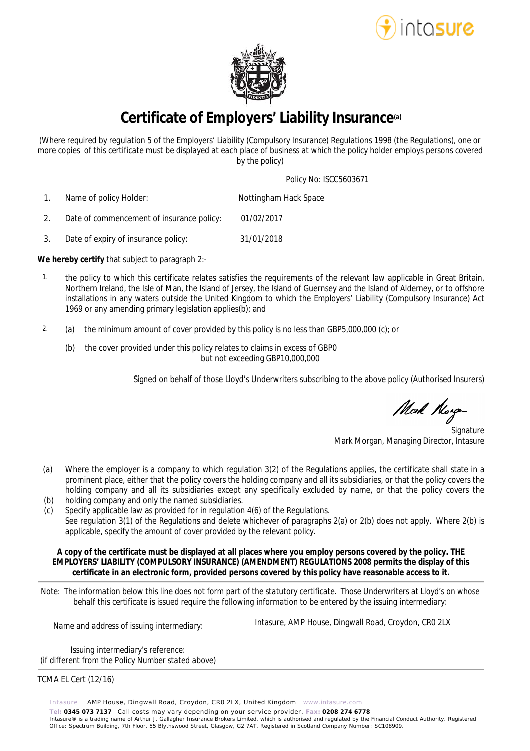



**Certificate of Employers' Liability Insurance(a)**

*(Where required by regulation 5 of the Employers' Liability (Compulsory Insurance) Regulations 1998 (the Regulations), one or more copies of this certificate must be displayed at each place of business at which the policy holder employs persons covered by the policy)*

Policy No: ISCC5603671

 1. Name of policy Holder: Nottingham Hack Space

- 2. Date of commencement of insurance policy: 01/02/2017
- 3. Date of expiry of insurance policy: 31/01/2018

**We hereby certify** that subject to paragraph 2:-

- 1. the policy to which this certificate relates satisfies the requirements of the relevant law applicable in Great Britain, Northern Ireland, the Isle of Man, the Island of Jersey, the Island of Guernsey and the Island of Alderney, or to offshore installations in any waters outside the United Kingdom to which the Employers' Liability (Compulsory Insurance) Act 1969 or any amending primary legislation applies(b); and
- 2. (a) the minimum amount of cover provided by this policy is no less than GBP5,000,000 (c); or
	- (b) the cover provided under this policy relates to claims in excess of GBP0 but not exceeding GBP10,000,000

Signed on behalf of those Lloyd's Underwriters subscribing to the above policy (Authorised Insurers)

Mort Morga

**Signature** Mark Morgan, Managing Director, Intasure

- (a) Where the employer is a company to which regulation 3(2) of the Regulations applies, the certificate shall state in a prominent place, either that the policy covers the holding company and all its subsidiaries, or that the policy covers the holding company and all its subsidiaries except any specifically excluded by name, or that the policy covers the
- (b) holding company and only the named subsidiaries.
- $(c)$ Specify applicable law as provided for in regulation 4(6) of the Regulations. See regulation 3(1) of the Regulations and delete whichever of paragraphs 2(a) or 2(b) does not apply. Where 2(b) is applicable, specify the amount of cover provided by the relevant policy.

**A copy of the certificate must be displayed at all places where you employ persons covered by the policy. THE EMPLOYERS' LIABILITY (COMPULSORY INSURANCE) (AMENDMENT) REGULATIONS 2008 permits the display of this certificate in an electronic form, provided persons covered by this policy have reasonable access to it.**

*Note: The information below this line does not form part of the statutory certificate. Those Underwriters at Lloyd's on whose behalf this certificate is issued require the following information to be entered by the issuing intermediary:*

*Name and address of issuing intermediary:* Intasure, AMP House, Dingwall Road, Croydon, CR0 2LX

*Issuing intermediary's reference: (if different from the Policy Number stated above)*

## TCMA EL Cert (12/16)

Intasure AMP House, Dingwall Road, Croydon, CR0 2LX, United Kingdom www.intasure.com **Tel: 0345 073 7137** Call costs may vary depending on your service provider. **Fax: 0208 274 6778**  Intasure® is a trading name of Arthur J. Gallagher Insurance Brokers Limited, which is authorised and regulated by the Financial Conduct Authority. Registered Office: Spectrum Building, 7th Floor, 55 Blythswood Street, Glasgow, G2 7AT. Registered in Scotland Company Number: SC108909.